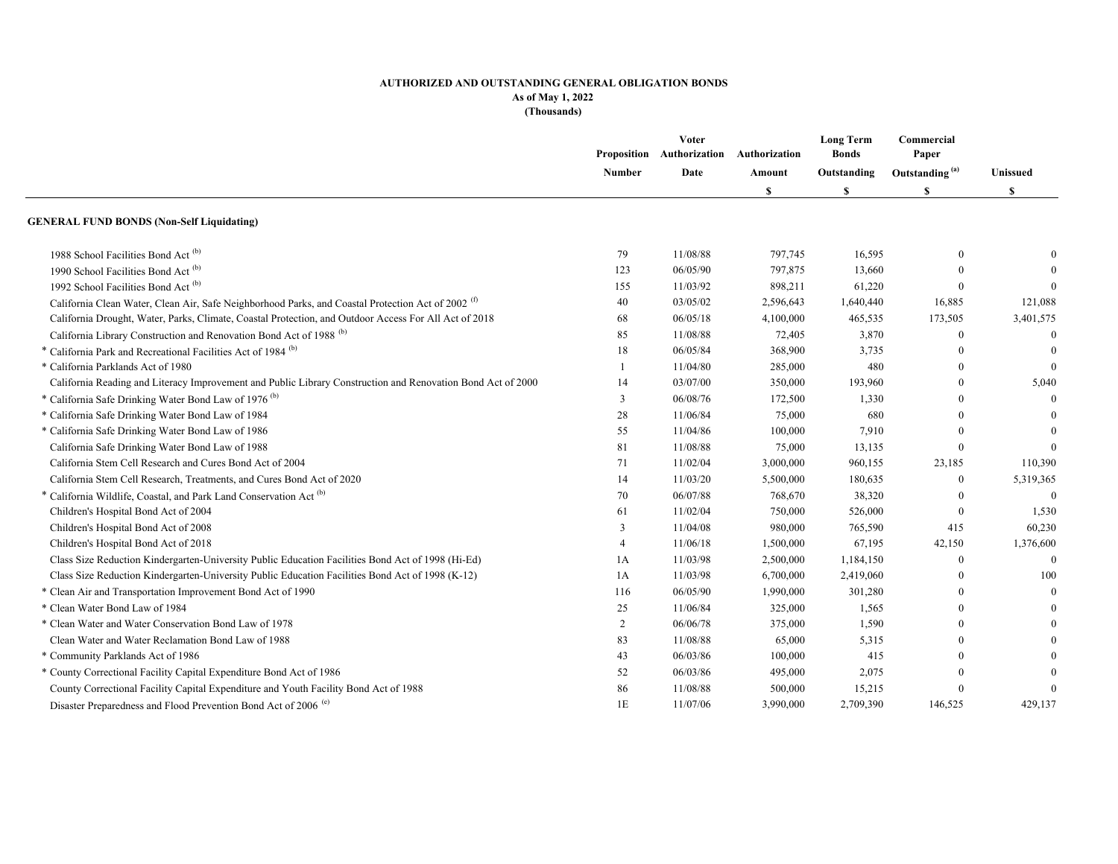### **AUTHORIZED AND OUTSTANDING GENERAL OBLIGATION BONDS As of May 1, 2022**

**(Thousands)**

|                                                                                                               | <b>Number</b>  | Voter<br>Proposition Authorization<br>Date | Authorization<br>Amount<br><b>S</b> | <b>Long Term</b><br><b>Bonds</b><br>Outstanding<br>S | Commercial<br>Paper        | Unissued<br>S  |
|---------------------------------------------------------------------------------------------------------------|----------------|--------------------------------------------|-------------------------------------|------------------------------------------------------|----------------------------|----------------|
|                                                                                                               |                |                                            |                                     |                                                      | Outstanding <sup>(a)</sup> |                |
|                                                                                                               |                |                                            |                                     |                                                      | S                          |                |
| <b>GENERAL FUND BONDS (Non-Self Liquidating)</b>                                                              |                |                                            |                                     |                                                      |                            |                |
| 1988 School Facilities Bond Act <sup>(b)</sup>                                                                | 79             | 11/08/88                                   | 797,745                             | 16,595                                               | $\theta$                   | $\overline{0}$ |
| 1990 School Facilities Bond Act <sup>(b)</sup>                                                                | 123            | 06/05/90                                   | 797,875                             | 13,660                                               | $\Omega$                   | $\overline{0}$ |
| 1992 School Facilities Bond Act <sup>(b)</sup>                                                                | 155            | 11/03/92                                   | 898,211                             | 61,220                                               | $\Omega$                   | $\overline{0}$ |
| California Clean Water, Clean Air, Safe Neighborhood Parks, and Coastal Protection Act of 2002 <sup>(f)</sup> | 40             | 03/05/02                                   | 2,596,643                           | 1,640,440                                            | 16,885                     | 121,088        |
| California Drought, Water, Parks, Climate, Coastal Protection, and Outdoor Access For All Act of 2018         | 68             | 06/05/18                                   | 4,100,000                           | 465,535                                              | 173,505                    | 3,401,575      |
| California Library Construction and Renovation Bond Act of 1988 <sup>(b)</sup>                                | 85             | 11/08/88                                   | 72,405                              | 3,870                                                | $\mathbf{0}$               | $\mathbf{0}$   |
| * California Park and Recreational Facilities Act of 1984 <sup>(b)</sup>                                      | 18             | 06/05/84                                   | 368,900                             | 3,735                                                | $\theta$                   | $\theta$       |
| * California Parklands Act of 1980                                                                            | -1             | 11/04/80                                   | 285,000                             | 480                                                  | $\Omega$                   | $\overline{0}$ |
| California Reading and Literacy Improvement and Public Library Construction and Renovation Bond Act of 2000   | 14             | 03/07/00                                   | 350,000                             | 193,960                                              | $\Omega$                   | 5,040          |
| * California Safe Drinking Water Bond Law of 1976 <sup>(b)</sup>                                              | 3              | 06/08/76                                   | 172,500                             | 1,330                                                | $\Omega$                   | $\overline{0}$ |
| * California Safe Drinking Water Bond Law of 1984                                                             | 28             | 11/06/84                                   | 75,000                              | 680                                                  | $\Omega$                   | $\theta$       |
| * California Safe Drinking Water Bond Law of 1986                                                             | 55             | 11/04/86                                   | 100,000                             | 7,910                                                | $\Omega$                   | $\theta$       |
| California Safe Drinking Water Bond Law of 1988                                                               | 81             | 11/08/88                                   | 75,000                              | 13,135                                               | $\theta$                   | $\theta$       |
| California Stem Cell Research and Cures Bond Act of 2004                                                      | 71             | 11/02/04                                   | 3,000,000                           | 960,155                                              | 23,185                     | 110,390        |
| California Stem Cell Research, Treatments, and Cures Bond Act of 2020                                         | 14             | 11/03/20                                   | 5,500,000                           | 180,635                                              | $\mathbf{0}$               | 5,319,365      |
| * California Wildlife, Coastal, and Park Land Conservation Act <sup>(b)</sup>                                 | 70             | 06/07/88                                   | 768,670                             | 38,320                                               | $\theta$                   | $\overline{0}$ |
| Children's Hospital Bond Act of 2004                                                                          | 61             | 11/02/04                                   | 750,000                             | 526,000                                              | $\mathbf{0}$               | 1,530          |
| Children's Hospital Bond Act of 2008                                                                          | 3              | 11/04/08                                   | 980,000                             | 765,590                                              | 415                        | 60,230         |
| Children's Hospital Bond Act of 2018                                                                          | $\overline{4}$ | 11/06/18                                   | 1,500,000                           | 67,195                                               | 42,150                     | 1,376,600      |
| Class Size Reduction Kindergarten-University Public Education Facilities Bond Act of 1998 (Hi-Ed)             | 1A             | 11/03/98                                   | 2,500,000                           | 1,184,150                                            | $\theta$                   | $\theta$       |
| Class Size Reduction Kindergarten-University Public Education Facilities Bond Act of 1998 (K-12)              | 1A             | 11/03/98                                   | 6,700,000                           | 2,419,060                                            | $\Omega$                   | 100            |
| * Clean Air and Transportation Improvement Bond Act of 1990                                                   | 116            | 06/05/90                                   | 1,990,000                           | 301,280                                              | $\Omega$                   | $\mathbf{0}$   |
| * Clean Water Bond Law of 1984                                                                                | 25             | 11/06/84                                   | 325,000                             | 1,565                                                | $\Omega$                   | $\mathbf{0}$   |
| * Clean Water and Water Conservation Bond Law of 1978                                                         | 2              | 06/06/78                                   | 375,000                             | 1,590                                                | $\Omega$                   | $\mathbf{0}$   |
| Clean Water and Water Reclamation Bond Law of 1988                                                            | 83             | 11/08/88                                   | 65,000                              | 5,315                                                | $\Omega$                   | $\theta$       |
| * Community Parklands Act of 1986                                                                             | 43             | 06/03/86                                   | 100,000                             | 415                                                  | $\Omega$                   | $\theta$       |
| * County Correctional Facility Capital Expenditure Bond Act of 1986                                           | 52             | 06/03/86                                   | 495,000                             | 2,075                                                | $\Omega$                   | $\overline{0}$ |
| County Correctional Facility Capital Expenditure and Youth Facility Bond Act of 1988                          | 86             | 11/08/88                                   | 500,000                             | 15,215                                               | $\Omega$                   | $\overline{0}$ |
| Disaster Preparedness and Flood Prevention Bond Act of 2006 <sup>(e)</sup>                                    | 1E             | 11/07/06                                   | 3,990,000                           | 2,709,390                                            | 146,525                    | 429,137        |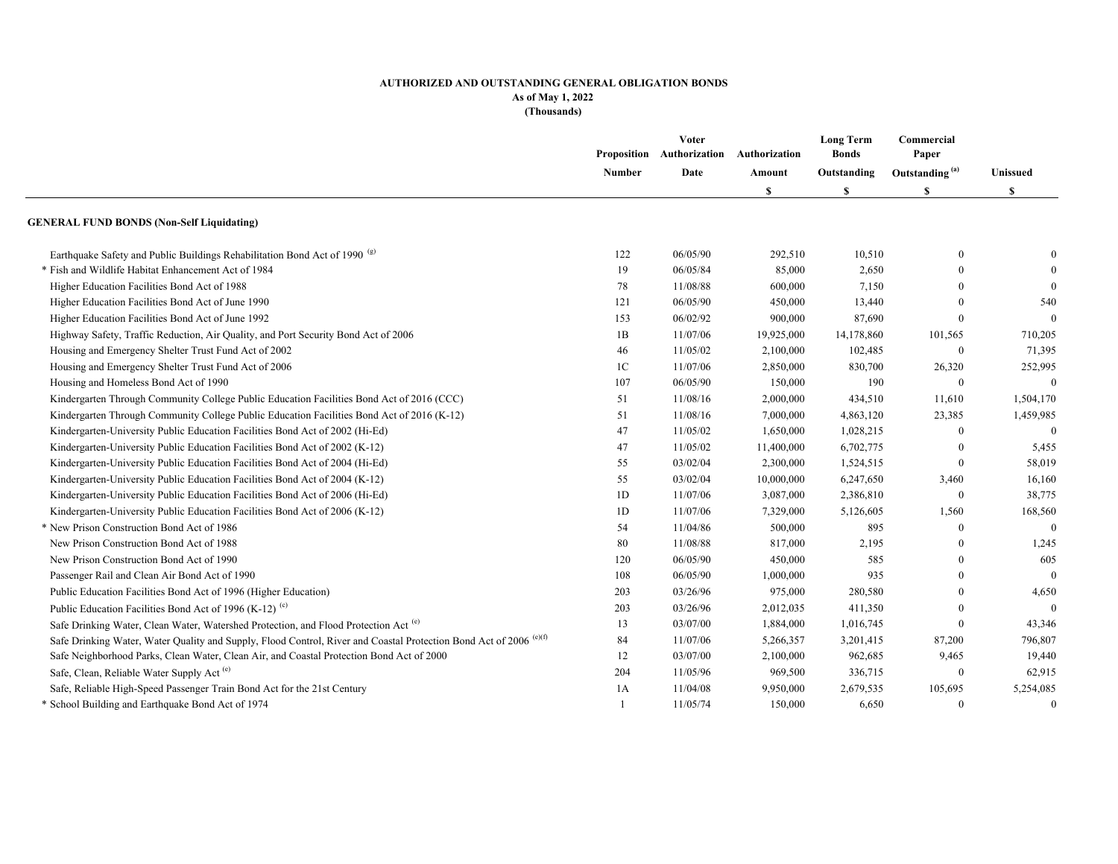#### **AUTHORIZED AND OUTSTANDING GENERAL OBLIGATION BONDS As of May 1, 2022**

**(Thousands)**

|                                                                                                                               | Proposition<br>Number | Voter<br>Authorization | Authorization | <b>Long Term</b><br><b>Bonds</b><br>Outstanding<br>S | Commercial<br>Paper<br>Outstanding <sup>(a)</sup><br>\$ | Unissued<br>\$ |
|-------------------------------------------------------------------------------------------------------------------------------|-----------------------|------------------------|---------------|------------------------------------------------------|---------------------------------------------------------|----------------|
|                                                                                                                               |                       | Date                   | Amount        |                                                      |                                                         |                |
|                                                                                                                               |                       |                        | \$            |                                                      |                                                         |                |
| <b>GENERAL FUND BONDS (Non-Self Liquidating)</b>                                                                              |                       |                        |               |                                                      |                                                         |                |
| Earthquake Safety and Public Buildings Rehabilitation Bond Act of 1990 <sup>(g)</sup>                                         | 122                   | 06/05/90               | 292,510       | 10,510                                               | $\Omega$                                                | $\mathbf{0}$   |
| * Fish and Wildlife Habitat Enhancement Act of 1984                                                                           | 19                    | 06/05/84               | 85,000        | 2,650                                                | $\Omega$                                                | $\theta$       |
| Higher Education Facilities Bond Act of 1988                                                                                  | 78                    | 11/08/88               | 600,000       | 7,150                                                |                                                         | $\theta$       |
| Higher Education Facilities Bond Act of June 1990                                                                             | 121                   | 06/05/90               | 450,000       | 13,440                                               |                                                         | 540            |
| Higher Education Facilities Bond Act of June 1992                                                                             | 153                   | 06/02/92               | 900,000       | 87,690                                               | $\theta$                                                | $\Omega$       |
| Highway Safety, Traffic Reduction, Air Quality, and Port Security Bond Act of 2006                                            | 1B                    | 11/07/06               | 19,925,000    | 14,178,860                                           | 101,565                                                 | 710,205        |
| Housing and Emergency Shelter Trust Fund Act of 2002                                                                          | 46                    | 11/05/02               | 2,100,000     | 102,485                                              | $\mathbf{0}$                                            | 71,395         |
| Housing and Emergency Shelter Trust Fund Act of 2006                                                                          | 1 <sup>C</sup>        | 11/07/06               | 2,850,000     | 830,700                                              | 26,320                                                  | 252,995        |
| Housing and Homeless Bond Act of 1990                                                                                         | 107                   | 06/05/90               | 150,000       | 190                                                  | $\theta$                                                | $\theta$       |
| Kindergarten Through Community College Public Education Facilities Bond Act of 2016 (CCC)                                     | 51                    | 11/08/16               | 2,000,000     | 434,510                                              | 11,610                                                  | 1,504,170      |
| Kindergarten Through Community College Public Education Facilities Bond Act of 2016 (K-12)                                    | 51                    | 11/08/16               | 7,000,000     | 4,863,120                                            | 23,385                                                  | 1,459,985      |
| Kindergarten-University Public Education Facilities Bond Act of 2002 (Hi-Ed)                                                  | 47                    | 11/05/02               | 1,650,000     | 1,028,215                                            | $\theta$                                                | $\mathbf{0}$   |
| Kindergarten-University Public Education Facilities Bond Act of 2002 (K-12)                                                   | 47                    | 11/05/02               | 11,400,000    | 6,702,775                                            |                                                         | 5,455          |
| Kindergarten-University Public Education Facilities Bond Act of 2004 (Hi-Ed)                                                  | 55                    | 03/02/04               | 2,300,000     | 1,524,515                                            | $\theta$                                                | 58,019         |
| Kindergarten-University Public Education Facilities Bond Act of 2004 (K-12)                                                   | 55                    | 03/02/04               | 10,000,000    | 6,247,650                                            | 3,460                                                   | 16,160         |
| Kindergarten-University Public Education Facilities Bond Act of 2006 (Hi-Ed)                                                  | 1D                    | 11/07/06               | 3,087,000     | 2,386,810                                            | $\theta$                                                | 38,775         |
| Kindergarten-University Public Education Facilities Bond Act of 2006 (K-12)                                                   | 1D                    | 11/07/06               | 7,329,000     | 5,126,605                                            | 1,560                                                   | 168,560        |
| * New Prison Construction Bond Act of 1986                                                                                    | 54                    | 11/04/86               | 500,000       | 895                                                  | $\theta$                                                | $\Omega$       |
| New Prison Construction Bond Act of 1988                                                                                      | 80                    | 11/08/88               | 817,000       | 2,195                                                | $\theta$                                                | 1,245          |
| New Prison Construction Bond Act of 1990                                                                                      | 120                   | 06/05/90               | 450,000       | 585                                                  | $\Omega$                                                | 605            |
| Passenger Rail and Clean Air Bond Act of 1990                                                                                 | 108                   | 06/05/90               | 1,000,000     | 935                                                  | $\Omega$                                                | $\theta$       |
| Public Education Facilities Bond Act of 1996 (Higher Education)                                                               | 203                   | 03/26/96               | 975,000       | 280,580                                              | $\Omega$                                                | 4,650          |
| Public Education Facilities Bond Act of 1996 (K-12) <sup>(c)</sup>                                                            | 203                   | 03/26/96               | 2,012,035     | 411,350                                              | $\Omega$                                                | $\Omega$       |
| Safe Drinking Water, Clean Water, Watershed Protection, and Flood Protection Act (e)                                          | 13                    | 03/07/00               | 1,884,000     | 1,016,745                                            | $\theta$                                                | 43,346         |
| Safe Drinking Water, Water Quality and Supply, Flood Control, River and Coastal Protection Bond Act of 2006 <sup>(e)(f)</sup> | 84                    | 11/07/06               | 5,266,357     | 3,201,415                                            | 87,200                                                  | 796,807        |
| Safe Neighborhood Parks, Clean Water, Clean Air, and Coastal Protection Bond Act of 2000                                      | 12                    | 03/07/00               | 2,100,000     | 962,685                                              | 9,465                                                   | 19,440         |
| Safe, Clean, Reliable Water Supply Act <sup>(e)</sup>                                                                         | 204                   | 11/05/96               | 969,500       | 336,715                                              | $\mathbf{0}$                                            | 62,915         |
| Safe, Reliable High-Speed Passenger Train Bond Act for the 21st Century                                                       | 1A                    | 11/04/08               | 9,950,000     | 2,679,535                                            | 105,695                                                 | 5,254,085      |
| * School Building and Earthquake Bond Act of 1974                                                                             |                       | 11/05/74               | 150,000       | 6,650                                                | $\Omega$                                                | $\theta$       |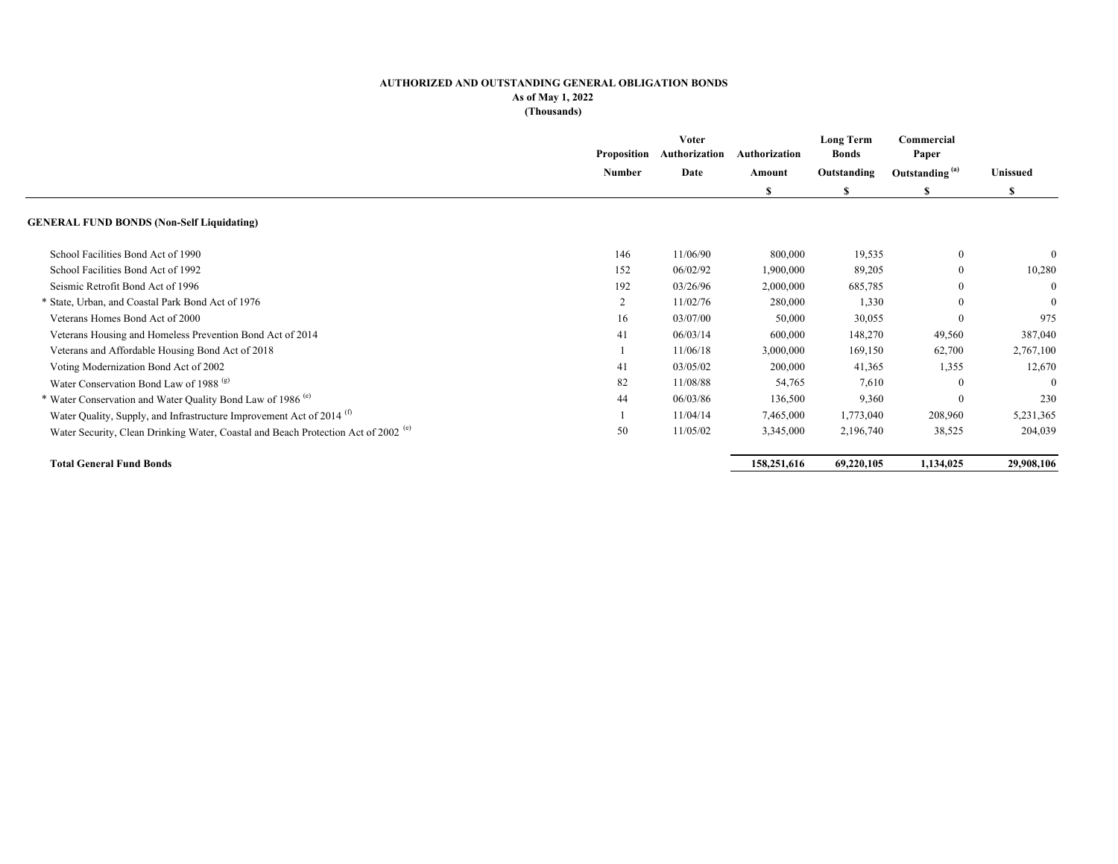#### **AUTHORIZED AND OUTSTANDING GENERAL OBLIGATION BONDS As of May 1, 2022**

**(Thousands)**

|                                                                                               | Proposition | Voter<br>Authorization | Authorization | <b>Long Term</b><br><b>Bonds</b> | Commercial<br>Paper |                            |          |
|-----------------------------------------------------------------------------------------------|-------------|------------------------|---------------|----------------------------------|---------------------|----------------------------|----------|
|                                                                                               | Number      |                        | Date          | Amount                           | Outstanding         | Outstanding <sup>(a)</sup> | Unissued |
|                                                                                               |             |                        | S             | S                                | S                   | S                          |          |
| <b>GENERAL FUND BONDS (Non-Self Liquidating)</b>                                              |             |                        |               |                                  |                     |                            |          |
| School Facilities Bond Act of 1990                                                            | 146         | 11/06/90               | 800,000       | 19,535                           | $\theta$            | $\theta$                   |          |
| School Facilities Bond Act of 1992                                                            | 152         | 06/02/92               | 1,900,000     | 89,205                           | $\mathbf{0}$        | 10,280                     |          |
| Seismic Retrofit Bond Act of 1996                                                             | 192         | 03/26/96               | 2,000,000     | 685,785                          | $\Omega$            | $\Omega$                   |          |
| * State, Urban, and Coastal Park Bond Act of 1976                                             | 2           | 11/02/76               | 280,000       | 1,330                            | $\theta$            | $\mathbf{0}$               |          |
| Veterans Homes Bond Act of 2000                                                               | 16          | 03/07/00               | 50,000        | 30,055                           | $\theta$            | 975                        |          |
| Veterans Housing and Homeless Prevention Bond Act of 2014                                     | 41          | 06/03/14               | 600,000       | 148,270                          | 49,560              | 387,040                    |          |
| Veterans and Affordable Housing Bond Act of 2018                                              |             | 11/06/18               | 3,000,000     | 169,150                          | 62,700              | 2,767,100                  |          |
| Voting Modernization Bond Act of 2002                                                         | 41          | 03/05/02               | 200,000       | 41,365                           | 1,355               | 12,670                     |          |
| Water Conservation Bond Law of 1988 <sup>(g)</sup>                                            | 82          | 11/08/88               | 54,765        | 7,610                            | $\theta$            | $\theta$                   |          |
| * Water Conservation and Water Quality Bond Law of 1986 <sup>(e)</sup>                        | 44          | 06/03/86               | 136,500       | 9,360                            | $\Omega$            | 230                        |          |
| Water Quality, Supply, and Infrastructure Improvement Act of 2014 <sup>(1)</sup>              |             | 11/04/14               | 7,465,000     | 1,773,040                        | 208,960             | 5,231,365                  |          |
| Water Security, Clean Drinking Water, Coastal and Beach Protection Act of 2002 <sup>(e)</sup> | 50          | 11/05/02               | 3,345,000     | 2,196,740                        | 38,525              | 204,039                    |          |
| <b>Total General Fund Bonds</b>                                                               |             |                        | 158,251,616   | 69,220,105                       | 1,134,025           | 29,908,106                 |          |